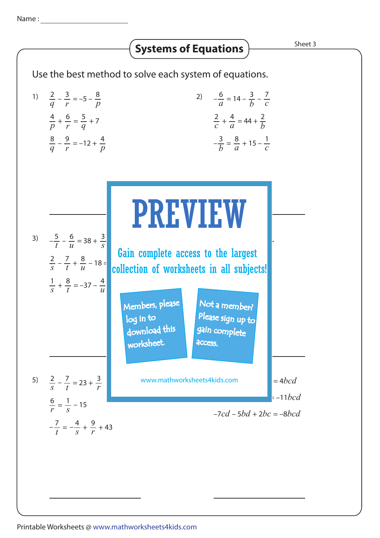